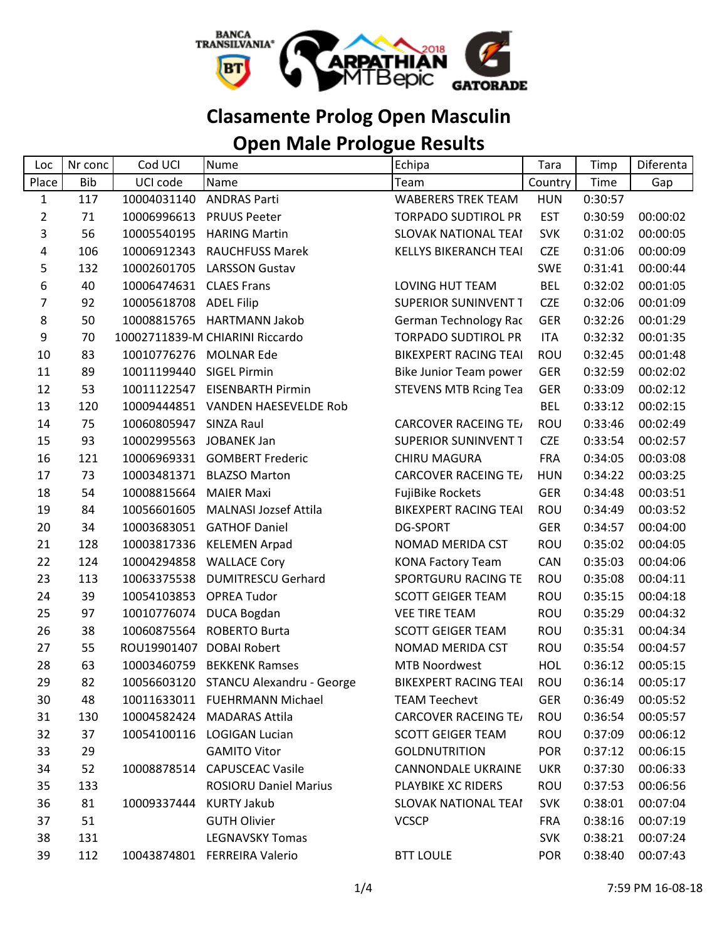

## **Clasamente Prolog Open Masculin**

## **Open Male Prologue Results**

| Loc            | Nr conc    | Cod UCI                  | Nume                              | Echipa                       | Tara       | Timp    | Diferenta |
|----------------|------------|--------------------------|-----------------------------------|------------------------------|------------|---------|-----------|
| Place          | <b>Bib</b> | UCI code                 | Name                              | Team                         | Country    | Time    | Gap       |
| $\mathbf{1}$   | 117        | 10004031140              | <b>ANDRAS Parti</b>               | <b>WABERERS TREK TEAM</b>    | <b>HUN</b> | 0:30:57 |           |
| $\overline{2}$ | 71         |                          | 10006996613 PRUUS Peeter          | <b>TORPADO SUDTIROL PR</b>   | <b>EST</b> | 0:30:59 | 00:00:02  |
| 3              | 56         | 10005540195              | <b>HARING Martin</b>              | <b>SLOVAK NATIONAL TEAI</b>  | <b>SVK</b> | 0:31:02 | 00:00:05  |
| 4              | 106        | 10006912343              | <b>RAUCHFUSS Marek</b>            | <b>KELLYS BIKERANCH TEAI</b> | <b>CZE</b> | 0:31:06 | 00:00:09  |
| 5              | 132        | 10002601705              | <b>LARSSON Gustav</b>             |                              | <b>SWE</b> | 0:31:41 | 00:00:44  |
| 6              | 40         | 10006474631              | <b>CLAES Frans</b>                | LOVING HUT TEAM              | <b>BEL</b> | 0:32:02 | 00:01:05  |
| $\overline{7}$ | 92         | 10005618708 ADEL Filip   |                                   | <b>SUPERIOR SUNINVENT T</b>  | <b>CZE</b> | 0:32:06 | 00:01:09  |
| 8              | 50         |                          | 10008815765 HARTMANN Jakob        | German Technology Rac        | GER        | 0:32:26 | 00:01:29  |
| 9              | 70         |                          | 10002711839-M CHIARINI Riccardo   | <b>TORPADO SUDTIROL PR</b>   | <b>ITA</b> | 0:32:32 | 00:01:35  |
| 10             | 83         | 10010776276 MOLNAR Ede   |                                   | <b>BIKEXPERT RACING TEAI</b> | ROU        | 0:32:45 | 00:01:48  |
| 11             | 89         | 10011199440              | <b>SIGEL Pirmin</b>               | Bike Junior Team power       | <b>GER</b> | 0:32:59 | 00:02:02  |
| 12             | 53         |                          | 10011122547 EISENBARTH Pirmin     | <b>STEVENS MTB Rcing Tea</b> | <b>GER</b> | 0:33:09 | 00:02:12  |
| 13             | 120        |                          | 10009444851 VANDEN HAESEVELDE Rob |                              | <b>BEL</b> | 0:33:12 | 00:02:15  |
| 14             | 75         | 10060805947 SINZA Raul   |                                   | <b>CARCOVER RACEING TE/</b>  | ROU        | 0:33:46 | 00:02:49  |
| 15             | 93         | 10002995563              | <b>JOBANEK Jan</b>                | <b>SUPERIOR SUNINVENT T</b>  | <b>CZE</b> | 0:33:54 | 00:02:57  |
| 16             | 121        | 10006969331              | <b>GOMBERT Frederic</b>           | <b>CHIRU MAGURA</b>          | <b>FRA</b> | 0:34:05 | 00:03:08  |
| 17             | 73         |                          | 10003481371 BLAZSO Marton         | <b>CARCOVER RACEING TE/</b>  | <b>HUN</b> | 0:34:22 | 00:03:25  |
| 18             | 54         | 10008815664              | <b>MAIER Maxi</b>                 | <b>FujiBike Rockets</b>      | <b>GER</b> | 0:34:48 | 00:03:51  |
| 19             | 84         | 10056601605              | <b>MALNASI Jozsef Attila</b>      | <b>BIKEXPERT RACING TEAI</b> | <b>ROU</b> | 0:34:49 | 00:03:52  |
| 20             | 34         | 10003683051              | <b>GATHOF Daniel</b>              | <b>DG-SPORT</b>              | <b>GER</b> | 0:34:57 | 00:04:00  |
| 21             | 128        |                          | 10003817336 KELEMEN Arpad         | NOMAD MERIDA CST             | ROU        | 0:35:02 | 00:04:05  |
| 22             | 124        | 10004294858              | <b>WALLACE Cory</b>               | <b>KONA Factory Team</b>     | CAN        | 0:35:03 | 00:04:06  |
| 23             | 113        | 10063375538              | <b>DUMITRESCU Gerhard</b>         | SPORTGURU RACING TE          | ROU        | 0:35:08 | 00:04:11  |
| 24             | 39         | 10054103853              | <b>OPREA Tudor</b>                | <b>SCOTT GEIGER TEAM</b>     | ROU        | 0:35:15 | 00:04:18  |
| 25             | 97         | 10010776074              | <b>DUCA Bogdan</b>                | <b>VEE TIRE TEAM</b>         | ROU        | 0:35:29 | 00:04:32  |
| 26             | 38         |                          | 10060875564 ROBERTO Burta         | <b>SCOTT GEIGER TEAM</b>     | ROU        | 0:35:31 | 00:04:34  |
| 27             | 55         | ROU19901407 DOBAI Robert |                                   | NOMAD MERIDA CST             | ROU        | 0:35:54 | 00:04:57  |
| 28             | 63         | 10003460759              | <b>BEKKENK Ramses</b>             | <b>MTB Noordwest</b>         | <b>HOL</b> | 0:36:12 | 00:05:15  |
| 29             | 82         | 10056603120              | STANCU Alexandru - George         | BIKEXPERT RACING TEAI        | <b>ROU</b> | 0:36:14 | 00:05:17  |
| 30             | 48         |                          | 10011633011 FUEHRMANN Michael     | <b>TEAM Teechevt</b>         | <b>GER</b> | 0:36:49 | 00:05:52  |
| 31             | 130        |                          | 10004582424 MADARAS Attila        | <b>CARCOVER RACEING TEA</b>  | ROU        | 0:36:54 | 00:05:57  |
| 32             | 37         |                          | 10054100116 LOGIGAN Lucian        | <b>SCOTT GEIGER TEAM</b>     | ROU        | 0:37:09 | 00:06:12  |
| 33             | 29         |                          | <b>GAMITO Vitor</b>               | <b>GOLDNUTRITION</b>         | <b>POR</b> | 0:37:12 | 00:06:15  |
| 34             | 52         |                          | 10008878514 CAPUSCEAC Vasile      | <b>CANNONDALE UKRAINE</b>    | <b>UKR</b> | 0:37:30 | 00:06:33  |
| 35             | 133        |                          | <b>ROSIORU Daniel Marius</b>      | PLAYBIKE XC RIDERS           | ROU        | 0:37:53 | 00:06:56  |
| 36             | 81         | 10009337444 KURTY Jakub  |                                   | SLOVAK NATIONAL TEAI         | <b>SVK</b> | 0:38:01 | 00:07:04  |
| 37             | 51         |                          | <b>GUTH Olivier</b>               | <b>VCSCP</b>                 | <b>FRA</b> | 0:38:16 | 00:07:19  |
| 38             | 131        |                          | <b>LEGNAVSKY Tomas</b>            |                              | <b>SVK</b> | 0:38:21 | 00:07:24  |
| 39             | 112        |                          | 10043874801 FERREIRA Valerio      | <b>BTT LOULE</b>             | <b>POR</b> | 0:38:40 | 00:07:43  |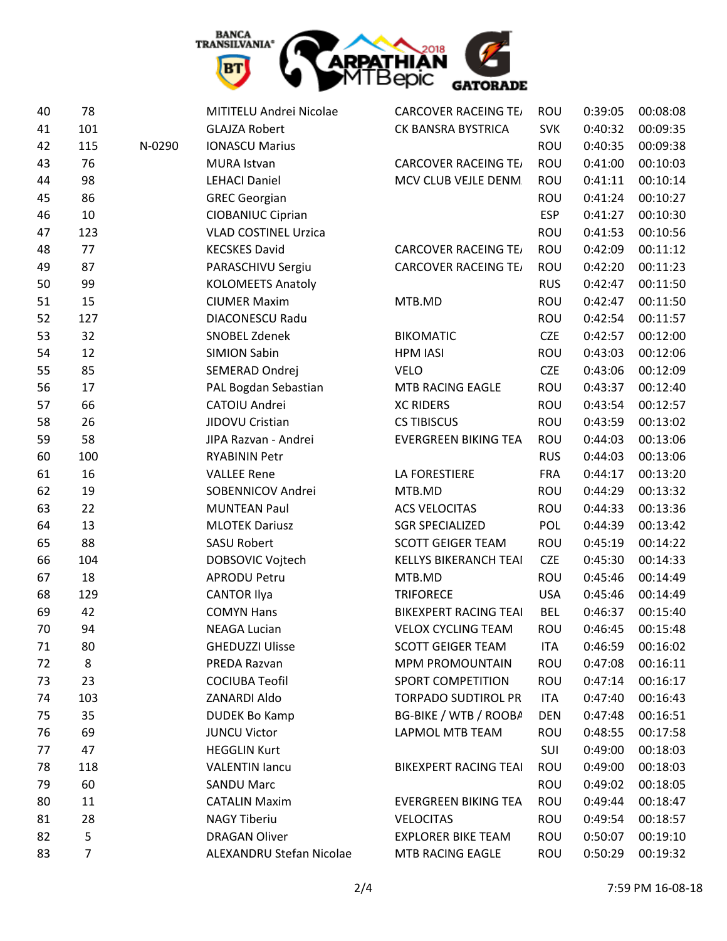

| 40 | 78             |        | MITITELU Andrei Nicolae     | <b>CARCOVER RACEING TE/</b>  | <b>ROU</b> | 0:39:05 | 00:08:08 |
|----|----------------|--------|-----------------------------|------------------------------|------------|---------|----------|
| 41 | 101            |        | <b>GLAJZA Robert</b>        | CK BANSRA BYSTRICA           | <b>SVK</b> | 0:40:32 | 00:09:35 |
| 42 | 115            | N-0290 | <b>IONASCU Marius</b>       |                              | ROU        | 0:40:35 | 00:09:38 |
| 43 | 76             |        | MURA Istvan                 | <b>CARCOVER RACEING TE/</b>  | ROU        | 0:41:00 | 00:10:03 |
| 44 | 98             |        | <b>LEHACI Daniel</b>        | MCV CLUB VEJLE DENM.         | ROU        | 0:41:11 | 00:10:14 |
| 45 | 86             |        | <b>GREC Georgian</b>        |                              | ROU        | 0:41:24 | 00:10:27 |
| 46 | 10             |        | <b>CIOBANIUC Ciprian</b>    |                              | <b>ESP</b> | 0:41:27 | 00:10:30 |
| 47 | 123            |        | <b>VLAD COSTINEL Urzica</b> |                              | ROU        | 0:41:53 | 00:10:56 |
| 48 | 77             |        | <b>KECSKES David</b>        | <b>CARCOVER RACEING TE</b>   | ROU        | 0:42:09 | 00:11:12 |
| 49 | 87             |        | PARASCHIVU Sergiu           | <b>CARCOVER RACEING TE/</b>  | ROU        | 0:42:20 | 00:11:23 |
| 50 | 99             |        | <b>KOLOMEETS Anatoly</b>    |                              | <b>RUS</b> | 0:42:47 | 00:11:50 |
| 51 | 15             |        | <b>CIUMER Maxim</b>         | MTB.MD                       | ROU        | 0:42:47 | 00:11:50 |
| 52 | 127            |        | DIACONESCU Radu             |                              | ROU        | 0:42:54 | 00:11:57 |
| 53 | 32             |        | SNOBEL Zdenek               | <b>BIKOMATIC</b>             | <b>CZE</b> | 0:42:57 | 00:12:00 |
| 54 | 12             |        | <b>SIMION Sabin</b>         | <b>HPM IASI</b>              | ROU        | 0:43:03 | 00:12:06 |
| 55 | 85             |        | SEMERAD Ondrej              | <b>VELO</b>                  | <b>CZE</b> | 0:43:06 | 00:12:09 |
| 56 | 17             |        | PAL Bogdan Sebastian        | MTB RACING EAGLE             | ROU        | 0:43:37 | 00:12:40 |
| 57 | 66             |        | CATOIU Andrei               | <b>XC RIDERS</b>             | ROU        | 0:43:54 | 00:12:57 |
| 58 | 26             |        | JIDOVU Cristian             | <b>CS TIBISCUS</b>           | ROU        | 0:43:59 | 00:13:02 |
| 59 | 58             |        | JIPA Razvan - Andrei        | <b>EVERGREEN BIKING TEA</b>  | ROU        | 0:44:03 | 00:13:06 |
| 60 | 100            |        | <b>RYABININ Petr</b>        |                              | <b>RUS</b> | 0:44:03 | 00:13:06 |
| 61 | 16             |        | <b>VALLEE Rene</b>          | LA FORESTIERE                | <b>FRA</b> | 0:44:17 | 00:13:20 |
| 62 | 19             |        | SOBENNICOV Andrei           | MTB.MD                       | ROU        | 0:44:29 | 00:13:32 |
| 63 | 22             |        | <b>MUNTEAN Paul</b>         | <b>ACS VELOCITAS</b>         | ROU        | 0:44:33 | 00:13:36 |
| 64 | 13             |        | <b>MLOTEK Dariusz</b>       | <b>SGR SPECIALIZED</b>       | POL        | 0:44:39 | 00:13:42 |
| 65 | 88             |        | <b>SASU Robert</b>          | <b>SCOTT GEIGER TEAM</b>     | ROU        | 0:45:19 | 00:14:22 |
| 66 | 104            |        | DOBSOVIC Vojtech            | <b>KELLYS BIKERANCH TEAI</b> | <b>CZE</b> | 0:45:30 | 00:14:33 |
| 67 | 18             |        | <b>APRODU Petru</b>         | MTB.MD                       | <b>ROU</b> | 0:45:46 | 00:14:49 |
| 68 | 129            |        | <b>CANTOR Ilya</b>          | <b>TRIFORECE</b>             | <b>USA</b> | 0:45:46 | 00:14:49 |
| 69 | 42             |        | <b>COMYN Hans</b>           | <b>BIKEXPERT RACING TEAI</b> | <b>BEL</b> | 0:46:37 | 00:15:40 |
| 70 | 94             |        | <b>NEAGA Lucian</b>         | <b>VELOX CYCLING TEAM</b>    | ROU        | 0:46:45 | 00:15:48 |
| 71 | 80             |        | <b>GHEDUZZI Ulisse</b>      | <b>SCOTT GEIGER TEAM</b>     | <b>ITA</b> | 0:46:59 | 00:16:02 |
| 72 | 8              |        | PREDA Razvan                | <b>MPM PROMOUNTAIN</b>       | ROU        | 0:47:08 | 00:16:11 |
| 73 | 23             |        | <b>COCIUBA Teofil</b>       | SPORT COMPETITION            | ROU        | 0:47:14 | 00:16:17 |
| 74 | 103            |        | ZANARDI Aldo                | <b>TORPADO SUDTIROL PR</b>   | <b>ITA</b> | 0:47:40 | 00:16:43 |
| 75 | 35             |        | <b>DUDEK Bo Kamp</b>        | BG-BIKE / WTB / ROOBA        | <b>DEN</b> | 0:47:48 | 00:16:51 |
| 76 | 69             |        | <b>JUNCU Victor</b>         | <b>LAPMOL MTB TEAM</b>       | ROU        | 0:48:55 | 00:17:58 |
| 77 | 47             |        | <b>HEGGLIN Kurt</b>         |                              | SUI        | 0:49:00 | 00:18:03 |
| 78 | 118            |        | <b>VALENTIN lancu</b>       | <b>BIKEXPERT RACING TEAI</b> | ROU        | 0:49:00 | 00:18:03 |
| 79 | 60             |        | <b>SANDU Marc</b>           |                              | ROU        | 0:49:02 | 00:18:05 |
| 80 | 11             |        | <b>CATALIN Maxim</b>        | <b>EVERGREEN BIKING TEA</b>  | ROU        | 0:49:44 | 00:18:47 |
| 81 | 28             |        | <b>NAGY Tiberiu</b>         | VELOCITAS                    | ROU        | 0:49:54 | 00:18:57 |
| 82 | 5              |        | <b>DRAGAN Oliver</b>        | <b>EXPLORER BIKE TEAM</b>    | ROU        | 0:50:07 | 00:19:10 |
| 83 | $\overline{7}$ |        | ALEXANDRU Stefan Nicolae    | MTB RACING EAGLE             | ROU        | 0:50:29 | 00:19:32 |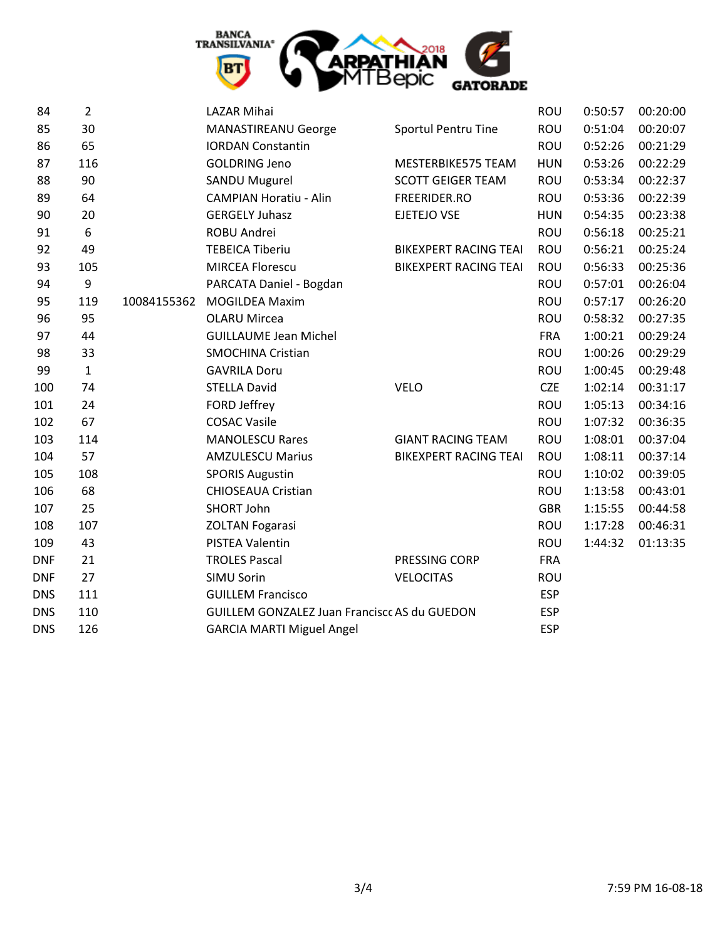

| 84         | $\overline{2}$ |             | LAZAR Mihai                                  |                              | <b>ROU</b> | 0:50:57 | 00:20:00 |
|------------|----------------|-------------|----------------------------------------------|------------------------------|------------|---------|----------|
| 85         | 30             |             | <b>MANASTIREANU George</b>                   | Sportul Pentru Tine          | <b>ROU</b> | 0:51:04 | 00:20:07 |
| 86         | 65             |             | <b>IORDAN Constantin</b>                     |                              | <b>ROU</b> | 0:52:26 | 00:21:29 |
| 87         | 116            |             | <b>GOLDRING Jeno</b>                         | MESTERBIKE575 TEAM           | <b>HUN</b> | 0:53:26 | 00:22:29 |
| 88         | 90             |             | <b>SANDU Mugurel</b>                         | <b>SCOTT GEIGER TEAM</b>     | <b>ROU</b> | 0:53:34 | 00:22:37 |
| 89         | 64             |             | <b>CAMPIAN Horatiu - Alin</b>                | FREERIDER.RO                 | <b>ROU</b> | 0:53:36 | 00:22:39 |
| 90         | 20             |             | <b>GERGELY Juhasz</b>                        | EJETEJO VSE                  | <b>HUN</b> | 0:54:35 | 00:23:38 |
| 91         | 6              |             | ROBU Andrei                                  |                              | <b>ROU</b> | 0:56:18 | 00:25:21 |
| 92         | 49             |             | <b>TEBEICA Tiberiu</b>                       | <b>BIKEXPERT RACING TEAI</b> | ROU        | 0:56:21 | 00:25:24 |
| 93         | 105            |             | <b>MIRCEA Florescu</b>                       | <b>BIKEXPERT RACING TEAI</b> | ROU        | 0:56:33 | 00:25:36 |
| 94         | 9              |             | PARCATA Daniel - Bogdan                      |                              | <b>ROU</b> | 0:57:01 | 00:26:04 |
| 95         | 119            | 10084155362 | <b>MOGILDEA Maxim</b>                        |                              | <b>ROU</b> | 0:57:17 | 00:26:20 |
| 96         | 95             |             | <b>OLARU Mircea</b>                          |                              | <b>ROU</b> | 0:58:32 | 00:27:35 |
| 97         | 44             |             | <b>GUILLAUME Jean Michel</b>                 |                              | <b>FRA</b> | 1:00:21 | 00:29:24 |
| 98         | 33             |             | <b>SMOCHINA Cristian</b>                     |                              | <b>ROU</b> | 1:00:26 | 00:29:29 |
| 99         | $\mathbf{1}$   |             | <b>GAVRILA Doru</b>                          |                              | <b>ROU</b> | 1:00:45 | 00:29:48 |
| 100        | 74             |             | <b>STELLA David</b>                          | <b>VELO</b>                  | <b>CZE</b> | 1:02:14 | 00:31:17 |
| 101        | 24             |             | FORD Jeffrey                                 |                              | <b>ROU</b> | 1:05:13 | 00:34:16 |
| 102        | 67             |             | <b>COSAC Vasile</b>                          |                              | ROU        | 1:07:32 | 00:36:35 |
| 103        | 114            |             | <b>MANOLESCU Rares</b>                       | <b>GIANT RACING TEAM</b>     | <b>ROU</b> | 1:08:01 | 00:37:04 |
| 104        | 57             |             | <b>AMZULESCU Marius</b>                      | <b>BIKEXPERT RACING TEAI</b> | <b>ROU</b> | 1:08:11 | 00:37:14 |
| 105        | 108            |             | <b>SPORIS Augustin</b>                       |                              | <b>ROU</b> | 1:10:02 | 00:39:05 |
| 106        | 68             |             | <b>CHIOSEAUA Cristian</b>                    |                              | <b>ROU</b> | 1:13:58 | 00:43:01 |
| 107        | 25             |             | SHORT John                                   |                              | <b>GBR</b> | 1:15:55 | 00:44:58 |
| 108        | 107            |             | <b>ZOLTAN Fogarasi</b>                       |                              | <b>ROU</b> | 1:17:28 | 00:46:31 |
| 109        | 43             |             | PISTEA Valentin                              |                              | <b>ROU</b> | 1:44:32 | 01:13:35 |
| <b>DNF</b> | 21             |             | <b>TROLES Pascal</b>                         | PRESSING CORP                | <b>FRA</b> |         |          |
| <b>DNF</b> | 27             |             | <b>SIMU Sorin</b>                            | <b>VELOCITAS</b>             | <b>ROU</b> |         |          |
| <b>DNS</b> | 111            |             | <b>GUILLEM Francisco</b>                     |                              | <b>ESP</b> |         |          |
| <b>DNS</b> | 110            |             | GUILLEM GONZALEZ Juan Franciscc AS du GUEDON |                              | <b>ESP</b> |         |          |
| <b>DNS</b> | 126            |             | <b>GARCIA MARTI Miguel Angel</b>             |                              | <b>ESP</b> |         |          |